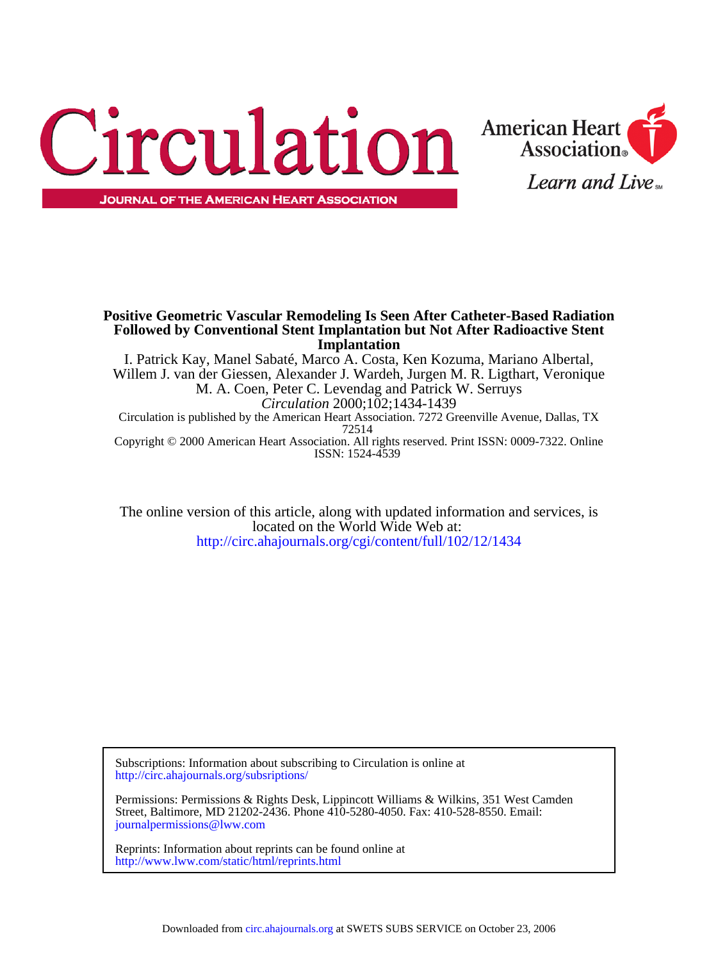



# **Implantation Followed by Conventional Stent Implantation but Not After Radioactive Stent Positive Geometric Vascular Remodeling Is Seen After Catheter-Based Radiation**

ISSN: 1524-4539 Copyright © 2000 American Heart Association. All rights reserved. Print ISSN: 0009-7322. Online 72514 Circulation is published by the American Heart Association. 7272 Greenville Avenue, Dallas, TX *Circulation* 2000;102;1434-1439 M. A. Coen, Peter C. Levendag and Patrick W. Serruys Willem J. van der Giessen, Alexander J. Wardeh, Jurgen M. R. Ligthart, Veronique I. Patrick Kay, Manel Sabaté, Marco A. Costa, Ken Kozuma, Mariano Albertal,

<http://circ.ahajournals.org/cgi/content/full/102/12/1434> located on the World Wide Web at: The online version of this article, along with updated information and services, is

[http://circ.ahajournals.org/subsriptions/](http://circ.ahajournals.org/subscriptions/) Subscriptions: Information about subscribing to Circulation is online at

[journalpermissions@lww.com](mailto:journalpermissions@lww.com) Street, Baltimore, MD 21202-2436. Phone 410-5280-4050. Fax: 410-528-8550. Email: Permissions: Permissions & Rights Desk, Lippincott Williams & Wilkins, 351 West Camden

<http://www.lww.com/static/html/reprints.html> Reprints: Information about reprints can be found online at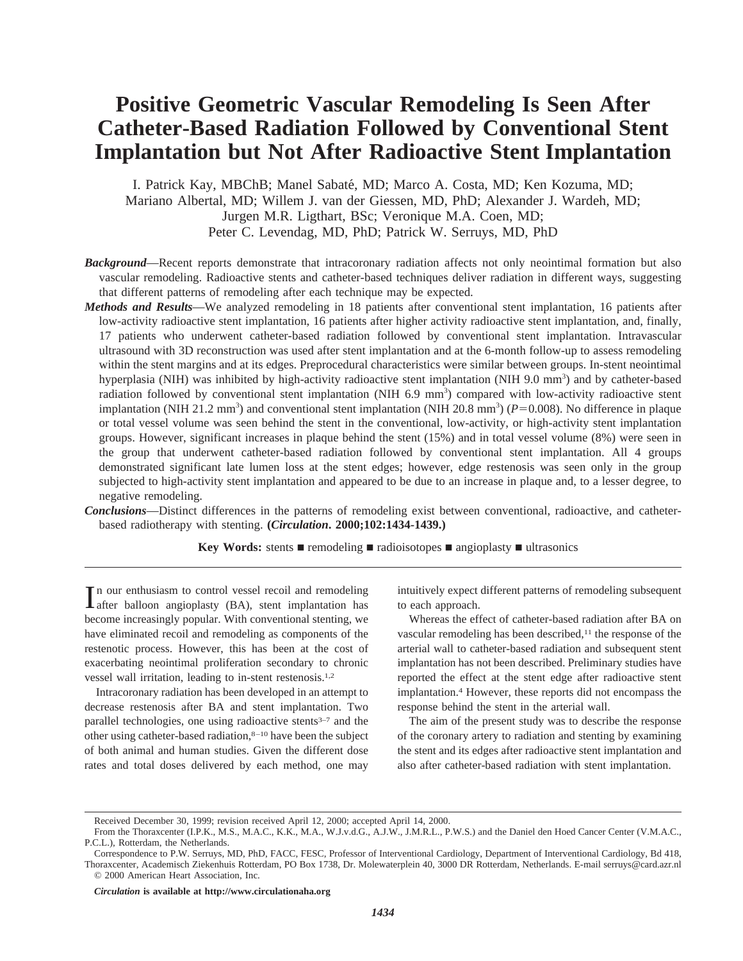# **Positive Geometric Vascular Remodeling Is Seen After Catheter-Based Radiation Followed by Conventional Stent Implantation but Not After Radioactive Stent Implantation**

I. Patrick Kay, MBChB; Manel Sabate´, MD; Marco A. Costa, MD; Ken Kozuma, MD; Mariano Albertal, MD; Willem J. van der Giessen, MD, PhD; Alexander J. Wardeh, MD; Jurgen M.R. Ligthart, BSc; Veronique M.A. Coen, MD; Peter C. Levendag, MD, PhD; Patrick W. Serruys, MD, PhD

- *Background*—Recent reports demonstrate that intracoronary radiation affects not only neointimal formation but also vascular remodeling. Radioactive stents and catheter-based techniques deliver radiation in different ways, suggesting that different patterns of remodeling after each technique may be expected.
- *Methods and Results*—We analyzed remodeling in 18 patients after conventional stent implantation, 16 patients after low-activity radioactive stent implantation, 16 patients after higher activity radioactive stent implantation, and, finally, 17 patients who underwent catheter-based radiation followed by conventional stent implantation. Intravascular ultrasound with 3D reconstruction was used after stent implantation and at the 6-month follow-up to assess remodeling within the stent margins and at its edges. Preprocedural characteristics were similar between groups. In-stent neointimal hyperplasia (NIH) was inhibited by high-activity radioactive stent implantation (NIH 9.0 mm<sup>3</sup>) and by catheter-based radiation followed by conventional stent implantation (NIH 6.9 mm<sup>3</sup>) compared with low-activity radioactive stent implantation (NIH 21.2 mm<sup>3</sup>) and conventional stent implantation (NIH 20.8 mm<sup>3</sup>) ( $P=0.008$ ). No difference in plaque or total vessel volume was seen behind the stent in the conventional, low-activity, or high-activity stent implantation groups. However, significant increases in plaque behind the stent (15%) and in total vessel volume (8%) were seen in the group that underwent catheter-based radiation followed by conventional stent implantation. All 4 groups demonstrated significant late lumen loss at the stent edges; however, edge restenosis was seen only in the group subjected to high-activity stent implantation and appeared to be due to an increase in plaque and, to a lesser degree, to negative remodeling.
- *Conclusions*—Distinct differences in the patterns of remodeling exist between conventional, radioactive, and catheterbased radiotherapy with stenting. **(***Circulation***. 2000;102:1434-1439.)**

**Key Words:** stents  $\blacksquare$  remodeling  $\blacksquare$  radioisotopes  $\blacksquare$  angioplasty  $\blacksquare$  ultrasonics

In our enthusiasm to control vessel recoil and remodeling<br>dafter balloon angioplasty (BA), stent implantation has after balloon angioplasty (BA), stent implantation has become increasingly popular. With conventional stenting, we have eliminated recoil and remodeling as components of the restenotic process. However, this has been at the cost of exacerbating neointimal proliferation secondary to chronic vessel wall irritation, leading to in-stent restenosis.1,2

Intracoronary radiation has been developed in an attempt to decrease restenosis after BA and stent implantation. Two parallel technologies, one using radioactive stents<sup>3-7</sup> and the other using catheter-based radiation,8–10 have been the subject of both animal and human studies. Given the different dose rates and total doses delivered by each method, one may intuitively expect different patterns of remodeling subsequent to each approach.

Whereas the effect of catheter-based radiation after BA on vascular remodeling has been described,<sup>11</sup> the response of the arterial wall to catheter-based radiation and subsequent stent implantation has not been described. Preliminary studies have reported the effect at the stent edge after radioactive stent implantation.4 However, these reports did not encompass the response behind the stent in the arterial wall.

The aim of the present study was to describe the response of the coronary artery to radiation and stenting by examining the stent and its edges after radioactive stent implantation and also after catheter-based radiation with stent implantation.

Received December 30, 1999; revision received April 12, 2000; accepted April 14, 2000.

From the Thoraxcenter (I.P.K., M.S., M.A.C., K.K., M.A., W.J.v.d.G., A.J.W., J.M.R.L., P.W.S.) and the Daniel den Hoed Cancer Center (V.M.A.C., P.C.L.), Rotterdam, the Netherlands.

Correspondence to P.W. Serruys, MD, PhD, FACC, FESC, Professor of Interventional Cardiology, Department of Interventional Cardiology, Bd 418, Thoraxcenter, Academisch Ziekenhuis Rotterdam, PO Box 1738, Dr. Molewaterplein 40, 3000 DR Rotterdam, Netherlands. E-mail serruys@card.azr.nl © 2000 American Heart Association, Inc.

*Circulation* **is available at http://www.circulationaha.org**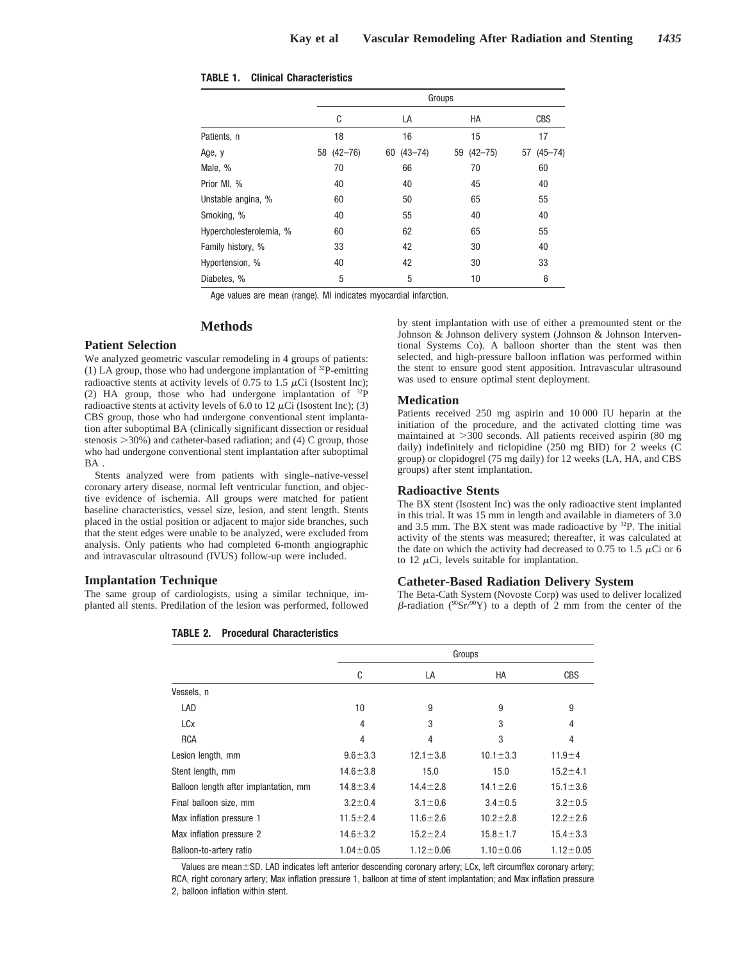|                         | Groups     |               |            |                   |  |
|-------------------------|------------|---------------|------------|-------------------|--|
|                         | C          | LA            | HA         | <b>CBS</b>        |  |
| Patients, n             | 18         | 16            | 15         | 17                |  |
| Age, y                  | 58 (42-76) | $60(43 - 74)$ | 59 (42-75) | $(45 - 74)$<br>57 |  |
| Male, %                 | 70         | 66            | 70         | 60                |  |
| Prior MI, %             | 40         | 40            | 45         | 40                |  |
| Unstable angina, %      | 60         | 50            | 65         | 55                |  |
| Smoking, %              | 40         | 55            | 40         | 40                |  |
| Hypercholesterolemia, % | 60         | 62            | 65         | 55                |  |
| Family history, %       | 33         | 42            | 30         | 40                |  |
| Hypertension, %         | 40         | 42            | 30         | 33                |  |
| Diabetes, %             | 5          | 5             | 10         | 6                 |  |

**TABLE 1. Clinical Characteristics**

Age values are mean (range). MI indicates myocardial infarction.

#### **Methods**

### **Patient Selection**

We analyzed geometric vascular remodeling in 4 groups of patients: (1) LA group, those who had undergone implantation of 32P-emitting radioactive stents at activity levels of 0.75 to 1.5  $\mu$ Ci (Isostent Inc); (2) HA group, those who had undergone implantation of 32P radioactive stents at activity levels of 6.0 to 12  $\mu$ Ci (Isostent Inc); (3) CBS group, those who had undergone conventional stent implantation after suboptimal BA (clinically significant dissection or residual stenosis  $>30\%$ ) and catheter-based radiation; and (4) C group, those who had undergone conventional stent implantation after suboptimal BA .

Stents analyzed were from patients with single–native-vessel coronary artery disease, normal left ventricular function, and objective evidence of ischemia. All groups were matched for patient baseline characteristics, vessel size, lesion, and stent length. Stents placed in the ostial position or adjacent to major side branches, such that the stent edges were unable to be analyzed, were excluded from analysis. Only patients who had completed 6-month angiographic and intravascular ultrasound (IVUS) follow-up were included.

#### **Implantation Technique**

The same group of cardiologists, using a similar technique, implanted all stents. Predilation of the lesion was performed, followed

**TABLE 2. Procedural Characteristics**

by stent implantation with use of either a premounted stent or the Johnson & Johnson delivery system (Johnson & Johnson Interventional Systems Co). A balloon shorter than the stent was then selected, and high-pressure balloon inflation was performed within the stent to ensure good stent apposition. Intravascular ultrasound was used to ensure optimal stent deployment.

# **Medication**

Patients received 250 mg aspirin and 10 000 IU heparin at the initiation of the procedure, and the activated clotting time was maintained at  $>$ 300 seconds. All patients received aspirin (80 mg daily) indefinitely and ticlopidine (250 mg BID) for 2 weeks (C group) or clopidogrel (75 mg daily) for 12 weeks (LA, HA, and CBS groups) after stent implantation.

#### **Radioactive Stents**

The BX stent (Isostent Inc) was the only radioactive stent implanted in this trial. It was 15 mm in length and available in diameters of 3.0 and 3.5 mm. The BX stent was made radioactive by  $^{32}P$ . The initial activity of the stents was measured; thereafter, it was calculated at the date on which the activity had decreased to 0.75 to 1.5  $\mu$ Ci or 6 to 12  $\mu$ Ci, levels suitable for implantation.

#### **Catheter-Based Radiation Delivery System**

The Beta-Cath System (Novoste Corp) was used to deliver localized  $\beta$ -radiation ( $90\,\text{Sr}/90\,\text{Y}$ ) to a depth of 2 mm from the center of the

|                                       |                 | Groups          |                |                 |  |
|---------------------------------------|-----------------|-----------------|----------------|-----------------|--|
|                                       | C               | LA              | HA             | <b>CBS</b>      |  |
| Vessels, n                            |                 |                 |                |                 |  |
| LAD                                   | 10              | 9               | 9              | 9               |  |
| <b>LCx</b>                            | 4               | 3               | 3              | 4               |  |
| <b>RCA</b>                            | 4               | 4               | 3              | 4               |  |
| Lesion length, mm                     | $9.6 + 3.3$     | $12.1 \pm 3.8$  | $10.1 \pm 3.3$ | $11.9 + 4$      |  |
| Stent length, mm                      | $14.6 \pm 3.8$  | 15.0            | 15.0           | $15.2 \pm 4.1$  |  |
| Balloon length after implantation, mm | $14.8 \pm 3.4$  | $14.4 \pm 2.8$  | $14.1 \pm 2.6$ | $15.1 \pm 3.6$  |  |
| Final balloon size, mm                | $3.2 \pm 0.4$   | $3.1 \pm 0.6$   | $3.4 \pm 0.5$  | $3.2 \pm 0.5$   |  |
| Max inflation pressure 1              | $11.5 + 2.4$    | $11.6 + 2.6$    | $10.2 \pm 2.8$ | $12.2 \pm 2.6$  |  |
| Max inflation pressure 2              | $14.6 \pm 3.2$  | $15.2 \pm 2.4$  | $15.8 \pm 1.7$ | $15.4 \pm 3.3$  |  |
| Balloon-to-artery ratio               | $1.04 \pm 0.05$ | $1.12 \pm 0.06$ | $1.10 + 0.06$  | $1.12 \pm 0.05$ |  |

Values are mean $\pm$ SD. LAD indicates left anterior descending coronary artery; LCx, left circumflex coronary artery; RCA, right coronary artery; Max inflation pressure 1, balloon at time of stent implantation; and Max inflation pressure 2, balloon inflation within stent.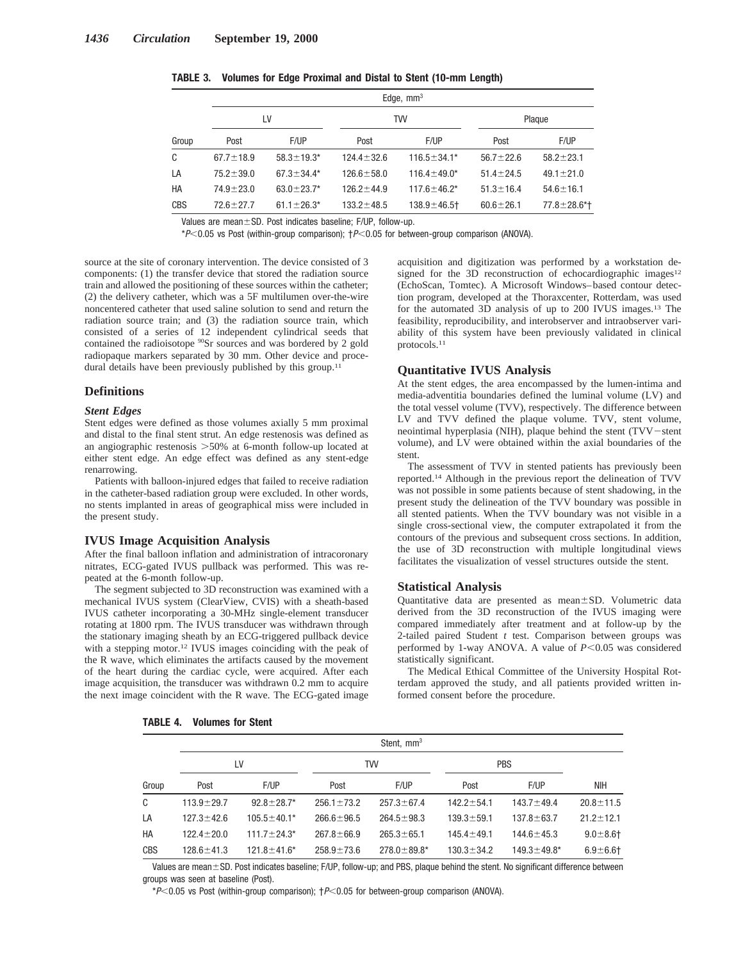|            |                 | Edge, $mm3$       |                  |                    |                 |                    |  |  |
|------------|-----------------|-------------------|------------------|--------------------|-----------------|--------------------|--|--|
|            | LV              |                   |                  | <b>TVV</b>         | Plaque          |                    |  |  |
| Group      | Post            | F/UP              | Post             | F/UP               | Post            | F/UP               |  |  |
| C          | $67.7 \pm 18.9$ | $58.3 \pm 19.3^*$ | $124.4 \pm 32.6$ | $116.5 \pm 34.1*$  | $56.7 \pm 22.6$ | $58.2 \pm 23.1$    |  |  |
| LA         | $75.2 \pm 39.0$ | $67.3 \pm 34.4*$  | $126.6 \pm 58.0$ | $116.4 \pm 49.0*$  | $51.4 \pm 24.5$ | $49.1 \pm 21.0$    |  |  |
| HA         | $74.9 \pm 23.0$ | $63.0 \pm 23.7*$  | $126.2 + 44.9$   | $117.6 \pm 46.2^*$ | $51.3 \pm 16.4$ | $54.6 \pm 16.1$    |  |  |
| <b>CBS</b> | $72.6 \pm 27.7$ | $61.1 \pm 26.3*$  | $133.2 \pm 48.5$ | $138.9 \pm 46.5$ + | $60.6 \pm 26.1$ | $77.8 \pm 28.6$ *† |  |  |

**TABLE 3. Volumes for Edge Proximal and Distal to Stent (10-mm Length)**

Values are mean $\pm$ SD. Post indicates baseline; F/UP, follow-up.

 $*P<0.05$  vs Post (within-group comparison);  $P<0.05$  for between-group comparison (ANOVA).

source at the site of coronary intervention. The device consisted of 3 components: (1) the transfer device that stored the radiation source train and allowed the positioning of these sources within the catheter; (2) the delivery catheter, which was a 5F multilumen over-the-wire noncentered catheter that used saline solution to send and return the radiation source train; and (3) the radiation source train, which consisted of a series of 12 independent cylindrical seeds that contained the radioisotope <sup>90</sup>Sr sources and was bordered by 2 gold radiopaque markers separated by 30 mm. Other device and procedural details have been previously published by this group.<sup>11</sup>

#### **Definitions**

#### *Stent Edges*

Stent edges were defined as those volumes axially 5 mm proximal and distal to the final stent strut. An edge restenosis was defined as an angiographic restenosis  $>50\%$  at 6-month follow-up located at either stent edge. An edge effect was defined as any stent-edge renarrowing.

Patients with balloon-injured edges that failed to receive radiation in the catheter-based radiation group were excluded. In other words, no stents implanted in areas of geographical miss were included in the present study.

#### **IVUS Image Acquisition Analysis**

After the final balloon inflation and administration of intracoronary nitrates, ECG-gated IVUS pullback was performed. This was repeated at the 6-month follow-up.

The segment subjected to 3D reconstruction was examined with a mechanical IVUS system (ClearView, CVIS) with a sheath-based IVUS catheter incorporating a 30-MHz single-element transducer rotating at 1800 rpm. The IVUS transducer was withdrawn through the stationary imaging sheath by an ECG-triggered pullback device with a stepping motor.12 IVUS images coinciding with the peak of the R wave, which eliminates the artifacts caused by the movement of the heart during the cardiac cycle, were acquired. After each image acquisition, the transducer was withdrawn 0.2 mm to acquire the next image coincident with the R wave. The ECG-gated image

**TABLE 4. Volumes for Stent**

acquisition and digitization was performed by a workstation designed for the 3D reconstruction of echocardiographic images<sup>12</sup> (EchoScan, Tomtec). A Microsoft Windows–based contour detection program, developed at the Thoraxcenter, Rotterdam, was used for the automated 3D analysis of up to 200 IVUS images.13 The feasibility, reproducibility, and interobserver and intraobserver variability of this system have been previously validated in clinical protocols.11

#### **Quantitative IVUS Analysis**

At the stent edges, the area encompassed by the lumen-intima and media-adventitia boundaries defined the luminal volume (LV) and the total vessel volume (TVV), respectively. The difference between LV and TVV defined the plaque volume. TVV, stent volume, neointimal hyperplasia (NIH), plaque behind the stent (TVV-stent volume), and LV were obtained within the axial boundaries of the stent.

The assessment of TVV in stented patients has previously been reported.14 Although in the previous report the delineation of TVV was not possible in some patients because of stent shadowing, in the present study the delineation of the TVV boundary was possible in all stented patients. When the TVV boundary was not visible in a single cross-sectional view, the computer extrapolated it from the contours of the previous and subsequent cross sections. In addition, the use of 3D reconstruction with multiple longitudinal views facilitates the visualization of vessel structures outside the stent.

#### **Statistical Analysis**

Quantitative data are presented as mean $\pm$ SD. Volumetric data derived from the 3D reconstruction of the IVUS imaging were compared immediately after treatment and at follow-up by the 2-tailed paired Student *t* test. Comparison between groups was performed by 1-way ANOVA. A value of  $P \leq 0.05$  was considered statistically significant.

The Medical Ethical Committee of the University Hospital Rotterdam approved the study, and all patients provided written informed consent before the procedure.

|       | Stent, mm <sup>3</sup> |                   |                  |                    |                  |                    |                 |  |
|-------|------------------------|-------------------|------------------|--------------------|------------------|--------------------|-----------------|--|
|       | LV                     |                   | TW               |                    | <b>PBS</b>       |                    |                 |  |
| Group | Post                   | F/UP              | Post             | F/UP               | Post             | F/UP               | NIH             |  |
| C     | $113.9 \pm 29.7$       | $92.8 \pm 28.7$ * | $256.1 \pm 73.2$ | $257.3 \pm 67.4$   | $142.2 \pm 54.1$ | $143.7 \pm 49.4$   | $20.8 \pm 11.5$ |  |
| LA    | $127.3 \pm 42.6$       | $105.5 \pm 40.1*$ | $266.6 \pm 96.5$ | $264.5 \pm 98.3$   | $139.3 \pm 59.1$ | $137.8 \pm 63.7$   | $21.2 \pm 12.1$ |  |
| HA    | $122.4 \pm 20.0$       | $111.7 \pm 24.3*$ | $267.8 \pm 66.9$ | $265.3 \pm 65.1$   | $145.4 \pm 49.1$ | $144.6 \pm 45.3$   | $9.0 + 8.6 +$   |  |
| CBS   | $128.6 \pm 41.3$       | $121.8 \pm 41.6*$ | $258.9 \pm 73.6$ | $278.0 \pm 89.8$ * | $130.3 \pm 34.2$ | $149.3 \pm 49.8^*$ | $6.9 + 6.6$     |  |

Values are mean $\pm$ SD. Post indicates baseline: F/UP, follow-up; and PBS, plaque behind the stent. No significant difference between groups was seen at baseline (Post).

 $*P<0.05$  vs Post (within-group comparison);  $P<0.05$  for between-group comparison (ANOVA).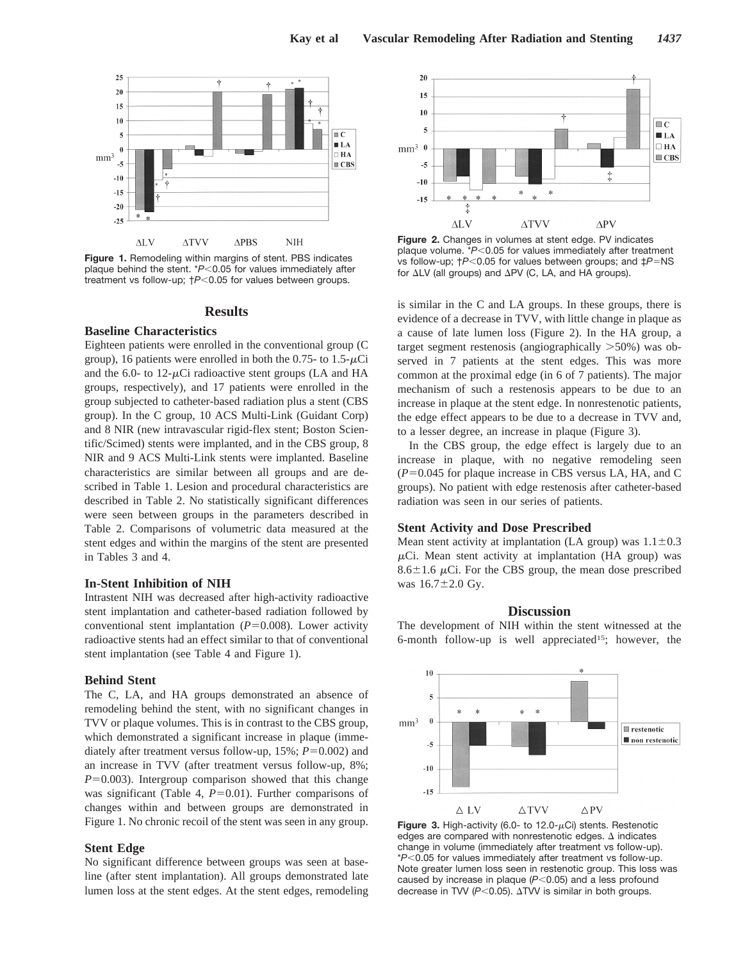

**Figure 1.** Remodeling within margins of stent. PBS indicates plaque behind the stent. \**P*<0.05 for values immediately after treatment vs follow-up;  $\uparrow P < 0.05$  for values between groups.

#### **Results**

#### **Baseline Characteristics**

Eighteen patients were enrolled in the conventional group (C group), 16 patients were enrolled in both the 0.75- to 1.5- $\mu$ Ci and the 6.0- to  $12-\mu$ Ci radioactive stent groups (LA and HA groups, respectively), and 17 patients were enrolled in the group subjected to catheter-based radiation plus a stent (CBS group). In the C group, 10 ACS Multi-Link (Guidant Corp) and 8 NIR (new intravascular rigid-flex stent; Boston Scientific/Scimed) stents were implanted, and in the CBS group, 8 NIR and 9 ACS Multi-Link stents were implanted. Baseline characteristics are similar between all groups and are described in Table 1. Lesion and procedural characteristics are described in Table 2. No statistically significant differences were seen between groups in the parameters described in Table 2. Comparisons of volumetric data measured at the stent edges and within the margins of the stent are presented in Tables 3 and 4.

### **In-Stent Inhibition of NIH**

Intrastent NIH was decreased after high-activity radioactive stent implantation and catheter-based radiation followed by conventional stent implantation  $(P=0.008)$ . Lower activity radioactive stents had an effect similar to that of conventional stent implantation (see Table 4 and Figure 1).

# **Behind Stent**

The C, LA, and HA groups demonstrated an absence of remodeling behind the stent, with no significant changes in TVV or plaque volumes. This is in contrast to the CBS group, which demonstrated a significant increase in plaque (immediately after treatment versus follow-up,  $15\%$ ;  $P=0.002$ ) and an increase in TVV (after treatment versus follow-up, 8%;  $P=0.003$ ). Intergroup comparison showed that this change was significant (Table 4,  $P=0.01$ ). Further comparisons of changes within and between groups are demonstrated in Figure 1. No chronic recoil of the stent was seen in any group.

#### **Stent Edge**

No significant difference between groups was seen at baseline (after stent implantation). All groups demonstrated late lumen loss at the stent edges. At the stent edges, remodeling



**Figure 2.** Changes in volumes at stent edge. PV indicates plaque volume. \**P*<0.05 for values immediately after treatment vs follow-up;  $\uparrow P$ <0.05 for values between groups; and  $\downarrow P$ =NS for  $\Delta$ LV (all groups) and  $\Delta$ PV (C, LA, and HA groups).

is similar in the C and LA groups. In these groups, there is evidence of a decrease in TVV, with little change in plaque as a cause of late lumen loss (Figure 2). In the HA group, a target segment restenosis (angiographically  $>50\%$ ) was observed in 7 patients at the stent edges. This was more common at the proximal edge (in 6 of 7 patients). The major mechanism of such a restenosis appears to be due to an increase in plaque at the stent edge. In nonrestenotic patients, the edge effect appears to be due to a decrease in TVV and, to a lesser degree, an increase in plaque (Figure 3).

In the CBS group, the edge effect is largely due to an increase in plaque, with no negative remodeling seen  $(P=0.045$  for plaque increase in CBS versus LA, HA, and C groups). No patient with edge restenosis after catheter-based radiation was seen in our series of patients.

# **Stent Activity and Dose Prescribed**

Mean stent activity at implantation (LA group) was  $1.1\pm0.3$  $\mu$ Ci. Mean stent activity at implantation (HA group) was 8.6 $\pm$ 1.6  $\mu$ Ci. For the CBS group, the mean dose prescribed was  $16.7 \pm 2.0$  Gy.

### **Discussion**

The development of NIH within the stent witnessed at the 6-month follow-up is well appreciated<sup>15</sup>; however, the



**Figure 3.** High-activity (6.0- to 12.0- $\mu$ Ci) stents. Restenotic edges are compared with nonrestenotic edges.  $\Delta$  indicates change in volume (immediately after treatment vs follow-up). \**P*,0.05 for values immediately after treatment vs follow-up. Note greater lumen loss seen in restenotic group. This loss was caused by increase in plaque (P<0.05) and a less profound decrease in TVV  $(P<0.05)$ .  $\Delta TVV$  is similar in both groups.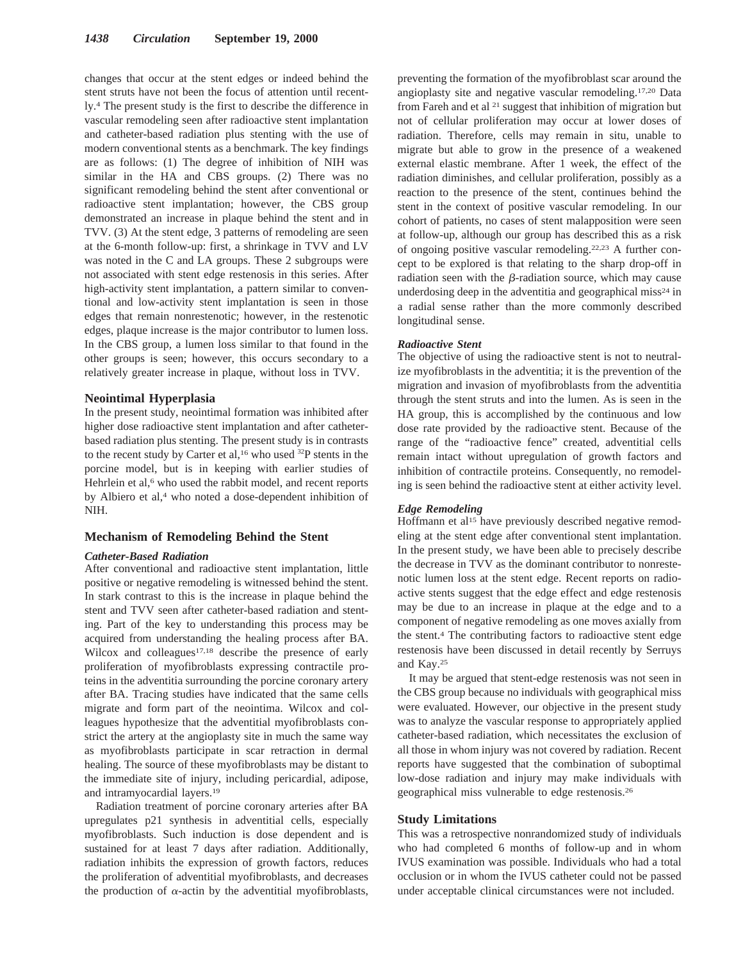changes that occur at the stent edges or indeed behind the stent struts have not been the focus of attention until recently.4 The present study is the first to describe the difference in vascular remodeling seen after radioactive stent implantation and catheter-based radiation plus stenting with the use of modern conventional stents as a benchmark. The key findings are as follows: (1) The degree of inhibition of NIH was similar in the HA and CBS groups. (2) There was no significant remodeling behind the stent after conventional or radioactive stent implantation; however, the CBS group demonstrated an increase in plaque behind the stent and in TVV. (3) At the stent edge, 3 patterns of remodeling are seen at the 6-month follow-up: first, a shrinkage in TVV and LV was noted in the C and LA groups. These 2 subgroups were not associated with stent edge restenosis in this series. After high-activity stent implantation, a pattern similar to conventional and low-activity stent implantation is seen in those edges that remain nonrestenotic; however, in the restenotic edges, plaque increase is the major contributor to lumen loss. In the CBS group, a lumen loss similar to that found in the other groups is seen; however, this occurs secondary to a relatively greater increase in plaque, without loss in TVV.

#### **Neointimal Hyperplasia**

In the present study, neointimal formation was inhibited after higher dose radioactive stent implantation and after catheterbased radiation plus stenting. The present study is in contrasts to the recent study by Carter et al,<sup>16</sup> who used <sup>32</sup>P stents in the porcine model, but is in keeping with earlier studies of Hehrlein et al,<sup>6</sup> who used the rabbit model, and recent reports by Albiero et al,<sup>4</sup> who noted a dose-dependent inhibition of NIH.

# **Mechanism of Remodeling Behind the Stent**

#### *Catheter-Based Radiation*

After conventional and radioactive stent implantation, little positive or negative remodeling is witnessed behind the stent. In stark contrast to this is the increase in plaque behind the stent and TVV seen after catheter-based radiation and stenting. Part of the key to understanding this process may be acquired from understanding the healing process after BA. Wilcox and colleagues<sup>17,18</sup> describe the presence of early proliferation of myofibroblasts expressing contractile proteins in the adventitia surrounding the porcine coronary artery after BA. Tracing studies have indicated that the same cells migrate and form part of the neointima. Wilcox and colleagues hypothesize that the adventitial myofibroblasts constrict the artery at the angioplasty site in much the same way as myofibroblasts participate in scar retraction in dermal healing. The source of these myofibroblasts may be distant to the immediate site of injury, including pericardial, adipose, and intramyocardial layers.19

Radiation treatment of porcine coronary arteries after BA upregulates p21 synthesis in adventitial cells, especially myofibroblasts. Such induction is dose dependent and is sustained for at least 7 days after radiation. Additionally, radiation inhibits the expression of growth factors, reduces the proliferation of adventitial myofibroblasts, and decreases the production of  $\alpha$ -actin by the adventitial myofibroblasts, preventing the formation of the myofibroblast scar around the angioplasty site and negative vascular remodeling.17,20 Data from Fareh and et al  $21$  suggest that inhibition of migration but not of cellular proliferation may occur at lower doses of radiation. Therefore, cells may remain in situ, unable to migrate but able to grow in the presence of a weakened external elastic membrane. After 1 week, the effect of the radiation diminishes, and cellular proliferation, possibly as a reaction to the presence of the stent, continues behind the stent in the context of positive vascular remodeling. In our cohort of patients, no cases of stent malapposition were seen at follow-up, although our group has described this as a risk of ongoing positive vascular remodeling.22,23 A further concept to be explored is that relating to the sharp drop-off in radiation seen with the  $\beta$ -radiation source, which may cause underdosing deep in the adventitia and geographical miss $24$  in a radial sense rather than the more commonly described longitudinal sense.

#### *Radioactive Stent*

The objective of using the radioactive stent is not to neutralize myofibroblasts in the adventitia; it is the prevention of the migration and invasion of myofibroblasts from the adventitia through the stent struts and into the lumen. As is seen in the HA group, this is accomplished by the continuous and low dose rate provided by the radioactive stent. Because of the range of the "radioactive fence" created, adventitial cells remain intact without upregulation of growth factors and inhibition of contractile proteins. Consequently, no remodeling is seen behind the radioactive stent at either activity level.

#### *Edge Remodeling*

Hoffmann et al<sup>15</sup> have previously described negative remodeling at the stent edge after conventional stent implantation. In the present study, we have been able to precisely describe the decrease in TVV as the dominant contributor to nonrestenotic lumen loss at the stent edge. Recent reports on radioactive stents suggest that the edge effect and edge restenosis may be due to an increase in plaque at the edge and to a component of negative remodeling as one moves axially from the stent.4 The contributing factors to radioactive stent edge restenosis have been discussed in detail recently by Serruys and Kay.25

It may be argued that stent-edge restenosis was not seen in the CBS group because no individuals with geographical miss were evaluated. However, our objective in the present study was to analyze the vascular response to appropriately applied catheter-based radiation, which necessitates the exclusion of all those in whom injury was not covered by radiation. Recent reports have suggested that the combination of suboptimal low-dose radiation and injury may make individuals with geographical miss vulnerable to edge restenosis.26

# **Study Limitations**

This was a retrospective nonrandomized study of individuals who had completed 6 months of follow-up and in whom IVUS examination was possible. Individuals who had a total occlusion or in whom the IVUS catheter could not be passed under acceptable clinical circumstances were not included.